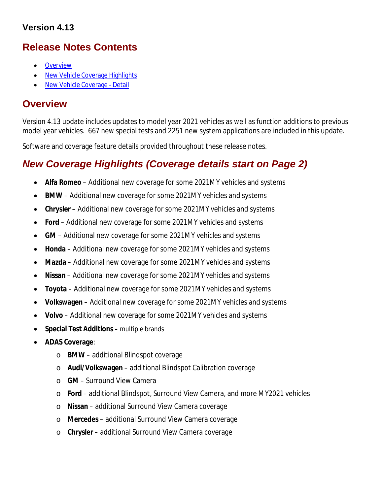## **Version 4.13**

# **Release Notes Contents**

- **Overview**
- New Vehicle Coverage Highlights
- New Vehicle Coverage Detail

# **Overview**

Version 4.13 update includes updates to model year 2021 vehicles as well as function additions to previous model year vehicles. 667 new special tests and 2251 new system applications are included in this update.

Software and coverage feature details provided throughout these release notes.

# *New Coverage Highlights (Coverage details start on Page 2)*

- **Alfa Romeo** Additional new coverage for some 2021MY vehicles and systems
- **BMW** Additional new coverage for some 2021MY vehicles and systems
- **Chrysler** Additional new coverage for some 2021MY vehicles and systems
- **Ford** Additional new coverage for some 2021MY vehicles and systems
- **GM** Additional new coverage for some 2021MY vehicles and systems
- **Honda** Additional new coverage for some 2021MY vehicles and systems
- **Mazda** Additional new coverage for some 2021MY vehicles and systems
- **Nissan** Additional new coverage for some 2021MY vehicles and systems
- **Toyota** Additional new coverage for some 2021MY vehicles and systems
- **Volkswagen** Additional new coverage for some 2021MY vehicles and systems
- **Volvo**  Additional new coverage for some 2021MY vehicles and systems
- **Special Test Additions**  multiple brands
- **ADAS Coverage**:
	- o **BMW**  additional Blindspot coverage
	- o **Audi/Volkswagen**  additional Blindspot Calibration coverage
	- o **GM**  Surround View Camera
	- o **Ford**  additional Blindspot, Surround View Camera, and more MY2021 vehicles
	- o **Nissan**  additional Surround View Camera coverage
	- o **Mercedes**  additional Surround View Camera coverage
	- o **Chrysler** additional Surround View Camera coverage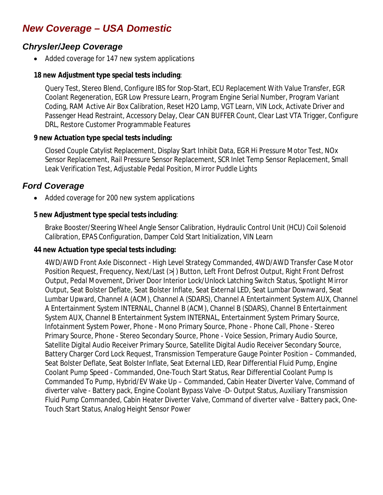# *New Coverage – USA Domestic*

### *Chrysler/Jeep Coverage*

• Added coverage for 147 new system applications

#### **18 new Adjustment type special tests including**:

Query Test, Stereo Blend, Configure IBS for Stop-Start, ECU Replacement With Value Transfer, EGR Coolant Regeneration, EGR Low Pressure Learn, Program Engine Serial Number, Program Variant Coding, RAM Active Air Box Calibration, Reset H2O Lamp, VGT Learn, VIN Lock, Activate Driver and Passenger Head Restraint, Accessory Delay, Clear CAN BUFFER Count, Clear Last VTA Trigger, Configure DRL, Restore Customer Programmable Features

#### **9 new Actuation type special tests including:**

Closed Couple Catylist Replacement, Display Start Inhibit Data, EGR Hi Pressure Motor Test, NOx Sensor Replacement, Rail Pressure Sensor Replacement, SCR Inlet Temp Sensor Replacement, Small Leak Verification Test, Adjustable Pedal Position, Mirror Puddle Lights

## *Ford Coverage*

• Added coverage for 200 new system applications

#### **5 new Adjustment type special tests including**:

Brake Booster/Steering Wheel Angle Sensor Calibration, Hydraulic Control Unit (HCU) Coil Solenoid Calibration, EPAS Configuration, Damper Cold Start Initialization, VIN Learn

#### **44 new Actuation type special tests including:**

4WD/AWD Front Axle Disconnect - High Level Strategy Commanded, 4WD/AWD Transfer Case Motor Position Request, Frequency, Next/Last (>|) Button, Left Front Defrost Output, Right Front Defrost Output, Pedal Movement, Driver Door Interior Lock/Unlock Latching Switch Status, Spotlight Mirror Output, Seat Bolster Deflate, Seat Bolster Inflate, Seat External LED, Seat Lumbar Downward, Seat Lumbar Upward, Channel A (ACM), Channel A (SDARS), Channel A Entertainment System AUX, Channel A Entertainment System INTERNAL, Channel B (ACM), Channel B (SDARS), Channel B Entertainment System AUX, Channel B Entertainment System INTERNAL, Entertainment System Primary Source, Infotainment System Power, Phone - Mono Primary Source, Phone - Phone Call, Phone - Stereo Primary Source, Phone - Stereo Secondary Source, Phone - Voice Session, Primary Audio Source, Satellite Digital Audio Receiver Primary Source, Satellite Digital Audio Receiver Secondary Source, Battery Charger Cord Lock Request, Transmission Temperature Gauge Pointer Position – Commanded, Seat Bolster Deflate, Seat Bolster Inflate, Seat External LED, Rear Differential Fluid Pump, Engine Coolant Pump Speed - Commanded, One-Touch Start Status, Rear Differential Coolant Pump Is Commanded To Pump, Hybrid/EV Wake Up – Commanded, Cabin Heater Diverter Valve, Command of diverter valve - Battery pack, Engine Coolant Bypass Valve -D- Output Status, Auxiliary Transmission Fluid Pump Commanded, Cabin Heater Diverter Valve, Command of diverter valve - Battery pack, One-Touch Start Status, Analog Height Sensor Power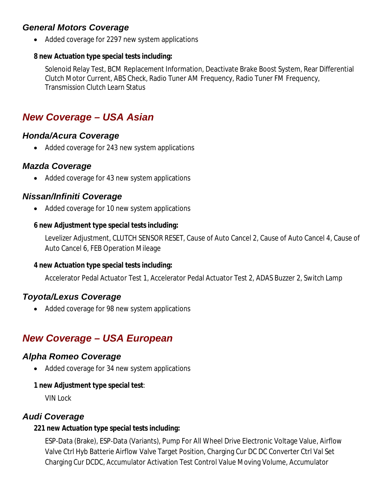# *General Motors Coverage*

• Added coverage for 2297 new system applications

### **8 new Actuation type special tests including:**

Solenoid Relay Test, BCM Replacement Information, Deactivate Brake Boost System, Rear Differential Clutch Motor Current, ABS Check, Radio Tuner AM Frequency, Radio Tuner FM Frequency, Transmission Clutch Learn Status

# *New Coverage – USA Asian*

## *Honda/Acura Coverage*

• Added coverage for 243 new system applications

## *Mazda Coverage*

• Added coverage for 43 new system applications

# *Nissan/Infiniti Coverage*

• Added coverage for 10 new system applications

### **6 new Adjustment type special tests including:**

Levelizer Adjustment, CLUTCH SENSOR RESET, Cause of Auto Cancel 2, Cause of Auto Cancel 4, Cause of Auto Cancel 6, FEB Operation Mileage

### **4 new Actuation type special tests including:**

Accelerator Pedal Actuator Test 1, Accelerator Pedal Actuator Test 2, ADAS Buzzer 2, Switch Lamp

# *Toyota/Lexus Coverage*

• Added coverage for 98 new system applications

# *New Coverage – USA European*

### *Alpha Romeo Coverage*

• Added coverage for 34 new system applications

### **1 new Adjustment type special test**:

VIN Lock

### *Audi Coverage*

### **221 new Actuation type special tests including:**

ESP-Data (Brake), ESP-Data (Variants), Pump For All Wheel Drive Electronic Voltage Value, Airflow Valve Ctrl Hyb Batterie Airflow Valve Target Position, Charging Cur DC DC Converter Ctrl Val Set Charging Cur DCDC, Accumulator Activation Test Control Value Moving Volume, Accumulator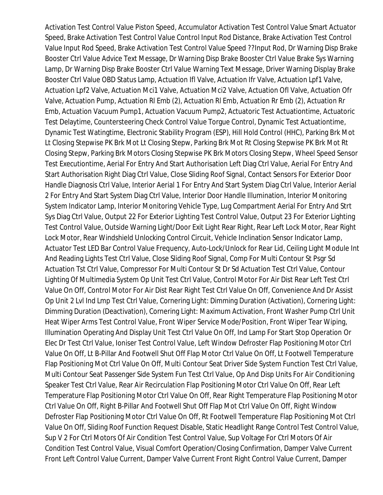Activation Test Control Value Piston Speed, Accumulator Activation Test Control Value Smart Actuator Speed, Brake Activation Test Control Value Control Input Rod Distance, Brake Activation Test Control Value Input Rod Speed, Brake Activation Test Control Value Speed ??Input Rod, Dr Warning Disp Brake Booster Ctrl Value Advice Text Message, Dr Warning Disp Brake Booster Ctrl Value Brake Sys Warning Lamp, Dr Warning Disp Brake Booster Ctrl Value Warning Text Message, Driver Warning Display Brake Booster Ctrl Value OBD Status Lamp, Actuation Ifl Valve, Actuation Ifr Valve, Actuation Lpf1 Valve, Actuation Lpf2 Valve, Actuation Mci1 Valve, Actuation Mci2 Valve, Actuation Ofl Valve, Actuation Ofr Valve, Actuation Pump, Actuation Rl Emb (2), Actuation Rl Emb, Actuation Rr Emb (2), Actuation Rr Emb, Actuation Vacuum Pump1, Actuation Vacuum Pump2, Actuatoric Test Actuationtime, Actuatoric Test Delaytime, Countersteering Check Control Value Torgue Control, Dynamic Test Actuationtime, Dynamic Test Watingtime, Electronic Stability Program (ESP), Hill Hold Control (HHC), Parking Brk Mot Lt Closing Stepwise PK Brk Mot Lt Closing Stepw, Parking Brk Mot Rt Closing Stepwise PK Brk Mot Rt Closing Stepw, Parking Brk Motors Closing Stepwise PK Brk Motors Closing Stepw, Wheel Speed Sensor Test Executiontime, Aerial For Entry And Start Authorisation Left Diag Ctrl Value, Aerial For Entry And Start Authorisation Right Diag Ctrl Value, Close Sliding Roof Signal, Contact Sensors For Exterior Door Handle Diagnosis Ctrl Value, Interior Aerial 1 For Entry And Start System Diag Ctrl Value, Interior Aerial 2 For Entry And Start System Diag Ctrl Value, Interior Door Handle Illumination, Interior Monitoring System Indicator Lamp, Interior Monitoring Vehicle Type, Lug Compartment Aerial For Entry And Strt Sys Diag Ctrl Value, Output 22 For Exterior Lighting Test Control Value, Output 23 For Exterior Lighting Test Control Value, Outside Warning Light/Door Exit Light Rear Right, Rear Left Lock Motor, Rear Right Lock Motor, Rear Windshield Unlocking Control Circuit, Vehicle Inclination Sensor Indicator Lamp, Actuator Test LED Bar Control Value Frequency, Auto-Lock/Unlock for Rear Lid, Ceiling Light Module Int And Reading Lights Test Ctrl Value, Close Sliding Roof Signal, Comp For Multi Contour St Psgr Sd Actuation Tst Ctrl Value, Compressor For Multi Contour St Dr Sd Actuation Test Ctrl Value, Contour Lighting Of Multimedia System Op Unit Test Ctrl Value, Control Motor For Air Dist Rear Left Test Ctrl Value On Off, Control Motor For Air Dist Rear Right Test Ctrl Value On Off, Convenience And Dr Assist Op Unit 2 Lvl Ind Lmp Test Ctrl Value, Cornering Light: Dimming Duration (Activation), Cornering Light: Dimming Duration (Deactivation), Cornering Light: Maximum Activation, Front Washer Pump Ctrl Unit Heat Wiper Arms Test Control Value, Front Wiper Service Mode/Position, Front Wiper Tear Wiping, Illumination Operating And Display Unit Test Ctrl Value On Off, Ind Lamp For Start Stop Operation Or Elec Dr Test Ctrl Value, Ioniser Test Control Value, Left Window Defroster Flap Positioning Motor Ctrl Value On Off, Lt B-Pillar And Footwell Shut Off Flap Motor Ctrl Value On Off, Lt Footwell Temperature Flap Positioning Mot Ctrl Value On Off, Multi Contour Seat Driver Side System Function Test Ctrl Value, Multi Contour Seat Passenger Side System Fun Test Ctrl Value, Op And Disp Units For Air Conditioning Speaker Test Ctrl Value, Rear Air Recirculation Flap Positioning Motor Ctrl Value On Off, Rear Left Temperature Flap Positioning Motor Ctrl Value On Off, Rear Right Temperature Flap Positioning Motor Ctrl Value On Off, Right B-Pillar And Footwell Shut Off Flap Mot Ctrl Value On Off, Right Window Defroster Flap Positioning Motor Ctrl Value On Off, Rt Footwell Temperature Flap Positioning Mot Ctrl Value On Off, Sliding Roof Function Request Disable, Static Headlight Range Control Test Control Value, Sup V 2 For Ctrl Motors Of Air Condition Test Control Value, Sup Voltage For Ctrl Motors Of Air Condition Test Control Value, Visual Comfort Operation/Closing Confirmation, Damper Valve Current Front Left Control Value Current, Damper Valve Current Front Right Control Value Current, Damper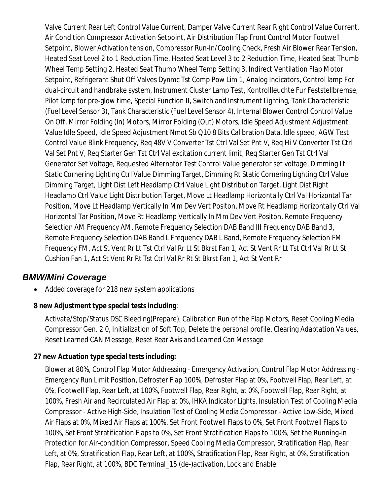Valve Current Rear Left Control Value Current, Damper Valve Current Rear Right Control Value Current, Air Condition Compressor Activation Setpoint, Air Distribution Flap Front Control Motor Footwell Setpoint, Blower Activation tension, Compressor Run-In/Cooling Check, Fresh Air Blower Rear Tension, Heated Seat Level 2 to 1 Reduction Time, Heated Seat Level 3 to 2 Reduction Time, Heated Seat Thumb Wheel Temp Setting 2, Heated Seat Thumb Wheel Temp Setting 3, Indirect Ventilation Flap Motor Setpoint, Refrigerant Shut Off Valves Dynmc Tst Comp Pow Lim 1, Analog Indicators, Control lamp For dual-circuit and handbrake system, Instrument Cluster Lamp Test, Kontrollleuchte Fur Feststellbremse, Pilot lamp for pre-glow time, Special Function II, Switch and Instrument Lighting, Tank Characteristic (Fuel Level Sensor 3), Tank Characteristic (Fuel Level Sensor 4), Internal Blower Control Control Value On Off, Mirror Folding (In) Motors, Mirror Folding (Out) Motors, Idle Speed Adjustment Adjustment Value Idle Speed, Idle Speed Adjustment Nmot Sb Q10 8 Bits Calibration Data, ldle speed, AGW Test Control Value Blink Frequency, Req 48V V Converter Tst Ctrl Val Set Pnt V, Req Hi V Converter Tst Ctrl Val Set Pnt V, Req Starter Gen Tst Ctrl Val excitation current limit, Req Starter Gen Tst Ctrl Val Generator Set Voltage, Requested Alternator Test Control Value generator set voltage, Dimming Lt Static Cornering Lighting Ctrl Value Dimming Target, Dimming Rt Static Cornering Lighting Ctrl Value Dimming Target, Light Dist Left Headlamp Ctrl Value Light Distribution Target, Light Dist Right Headlamp Ctrl Value Light Distribution Target, Move Lt Headlamp Horizontally Ctrl Val Horizontal Tar Position, Move Lt Headlamp Vertically In Mm Dev Vert Positon, Move Rt Headlamp Horizontally Ctrl Val Horizontal Tar Position, Move Rt Headlamp Vertically In Mm Dev Vert Positon, Remote Frequency Selection AM Frequency AM, Remote Frequency Selection DAB Band III Frequency DAB Band 3, Remote Frequency Selection DAB Band L Frequency DAB L Band, Remote Frequency Selection FM Frequency FM, Act St Vent Rr Lt Tst Ctrl Val Rr Lt St Bkrst Fan 1, Act St Vent Rr Lt Tst Ctrl Val Rr Lt St Cushion Fan 1, Act St Vent Rr Rt Tst Ctrl Val Rr Rt St Bkrst Fan 1, Act St Vent Rr

### *BMW/Mini Coverage*

• Added coverage for 218 new system applications

### **8 new Adjustment type special tests including**:

Activate/Stop/Status DSC Bleeding(Prepare), Calibration Run of the Flap Motors, Reset Cooling Media Compressor Gen. 2.0, Initialization of Soft Top, Delete the personal profile, Clearing Adaptation Values, Reset Learned CAN Message, Reset Rear Axis and Learned Can Message

### **27 new Actuation type special tests including:**

Blower at 80%, Control Flap Motor Addressing - Emergency Activation, Control Flap Motor Addressing - Emergency Run Limit Position, Defroster Flap 100%, Defroster Flap at 0%, Footwell Flap, Rear Left, at 0%, Footwell Flap, Rear Left, at 100%, Footwell Flap, Rear Right, at 0%, Footwell Flap, Rear Right, at 100%, Fresh Air and Recirculated Air Flap at 0%, IHKA Indicator Lights, Insulation Test of Cooling Media Compressor - Active High-Side, Insulation Test of Cooling Media Compressor - Active Low-Side, Mixed Air Flaps at 0%, Mixed Air Flaps at 100%, Set Front Footwell Flaps to 0%, Set Front Footwell Flaps to 100%, Set Front Stratification Flaps to 0%, Set Front Stratification Flaps to 100%, Set the Running-in Protection for Air-condition Compressor, Speed Cooling Media Compressor, Stratification Flap, Rear Left, at 0%, Stratification Flap, Rear Left, at 100%, Stratification Flap, Rear Right, at 0%, Stratification Flap, Rear Right, at 100%, BDC Terminal\_15 (de-)activation, Lock and Enable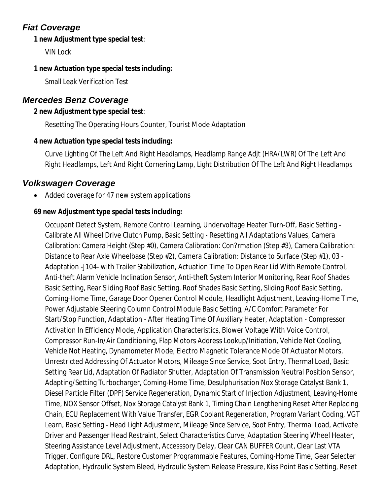# *Fiat Coverage*

### **1 new Adjustment type special test**:

VIN Lock

### **1 new Actuation type special tests including:**

Small Leak Verification Test

## *Mercedes Benz Coverage*

### **2 new Adjustment type special test**:

Resetting The Operating Hours Counter, Tourist Mode Adaptation

### **4 new Actuation type special tests including:**

Curve Lighting Of The Left And Right Headlamps, Headlamp Range Adjt (HRA/LWR) Of The Left And Right Headlamps, Left And Right Cornering Lamp, Light Distribution Of The Left And Right Headlamps

## *Volkswagen Coverage*

Added coverage for 47 new system applications

### **69 new Adjustment type special tests including:**

Occupant Detect System, Remote Control Learning, Undervoltage Heater Turn-Off, Basic Setting - Calibrate All Wheel Drive Clutch Pump, Basic Setting - Resetting All Adaptations Values, Camera Calibration: Camera Height (Step #0), Camera Calibration: Con?rmation (Step #3), Camera Calibration: Distance to Rear Axle Wheelbase (Step #2), Camera Calibration: Distance to Surface (Step #1), 03 - Adaptation -J104- with Trailer Stabilization, Actuation Time To Open Rear Lid With Remote Control, Anti-theft Alarm Vehicle Inclination Sensor, Anti-theft System Interior Monitoring, Rear Roof Shades Basic Setting, Rear Sliding Roof Basic Setting, Roof Shades Basic Setting, Sliding Roof Basic Setting, Coming-Home Time, Garage Door Opener Control Module, Headlight Adjustment, Leaving-Home Time, Power Adjustable Steering Column Control Module Basic Setting, A/C Comfort Parameter For Start/Stop Function, Adaptation - After Heating Time Of Auxiliary Heater, Adaptation - Compressor Activation In Efficiency Mode, Application Characteristics, Blower Voltage With Voice Control, Compressor Run-In/Air Conditioning, Flap Motors Address Lookup/Initiation, Vehicle Not Cooling, Vehicle Not Heating, Dynamometer Mode, Electro Magnetic Tolerance Mode Of Actuator Motors, Unrestricted Addressing Of Actuator Motors, Mileage Since Service, Soot Entry, Thermal Load, Basic Setting Rear Lid, Adaptation Of Radiator Shutter, Adaptation Of Transmission Neutral Position Sensor, Adapting/Setting Turbocharger, Coming-Home Time, Desulphurisation Nox Storage Catalyst Bank 1, Diesel Particle Filter (DPF) Service Regeneration, Dynamic Start of Injection Adjustment, Leaving-Home Time, NOX Sensor Offset, Nox Storage Catalyst Bank 1, Timing Chain Lengthening Reset After Replacing Chain, ECU Replacement With Value Transfer, EGR Coolant Regeneration, Program Variant Coding, VGT Learn, Basic Setting - Head Light Adjustment, Mileage Since Service, Soot Entry, Thermal Load, Activate Driver and Passenger Head Restraint, Select Characteristics Curve, Adaptation Steering Wheel Heater, Steering Assistance Level Adjustment, Accesssory Delay, Clear CAN BUFFER Count, Clear Last VTA Trigger, Configure DRL, Restore Customer Programmable Features, Coming-Home Time, Gear Selecter Adaptation, Hydraulic System Bleed, Hydraulic System Release Pressure, Kiss Point Basic Setting, Reset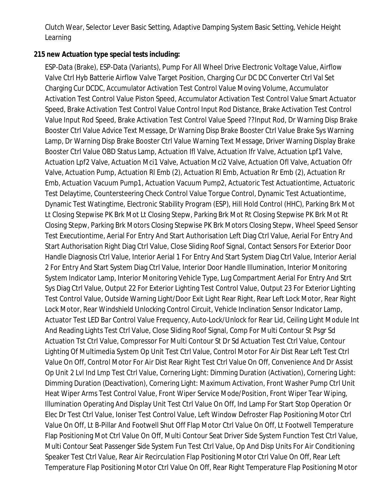Clutch Wear, Selector Lever Basic Setting, Adaptive Damping System Basic Setting, Vehicle Height Learning

### **215 new Actuation type special tests including:**

ESP-Data (Brake), ESP-Data (Variants), Pump For All Wheel Drive Electronic Voltage Value, Airflow Valve Ctrl Hyb Batterie Airflow Valve Target Position, Charging Cur DC DC Converter Ctrl Val Set Charging Cur DCDC, Accumulator Activation Test Control Value Moving Volume, Accumulator Activation Test Control Value Piston Speed, Accumulator Activation Test Control Value Smart Actuator Speed, Brake Activation Test Control Value Control Input Rod Distance, Brake Activation Test Control Value Input Rod Speed, Brake Activation Test Control Value Speed ??Input Rod, Dr Warning Disp Brake Booster Ctrl Value Advice Text Message, Dr Warning Disp Brake Booster Ctrl Value Brake Sys Warning Lamp, Dr Warning Disp Brake Booster Ctrl Value Warning Text Message, Driver Warning Display Brake Booster Ctrl Value OBD Status Lamp, Actuation Ifl Valve, Actuation Ifr Valve, Actuation Lpf1 Valve, Actuation Lpf2 Valve, Actuation Mci1 Valve, Actuation Mci2 Valve, Actuation Ofl Valve, Actuation Ofr Valve, Actuation Pump, Actuation Rl Emb (2), Actuation Rl Emb, Actuation Rr Emb (2), Actuation Rr Emb, Actuation Vacuum Pump1, Actuation Vacuum Pump2, Actuatoric Test Actuationtime, Actuatoric Test Delaytime, Countersteering Check Control Value Torgue Control, Dynamic Test Actuationtime, Dynamic Test Watingtime, Electronic Stability Program (ESP), Hill Hold Control (HHC), Parking Brk Mot Lt Closing Stepwise PK Brk Mot Lt Closing Stepw, Parking Brk Mot Rt Closing Stepwise PK Brk Mot Rt Closing Stepw, Parking Brk Motors Closing Stepwise PK Brk Motors Closing Stepw, Wheel Speed Sensor Test Executiontime, Aerial For Entry And Start Authorisation Left Diag Ctrl Value, Aerial For Entry And Start Authorisation Right Diag Ctrl Value, Close Sliding Roof Signal, Contact Sensors For Exterior Door Handle Diagnosis Ctrl Value, Interior Aerial 1 For Entry And Start System Diag Ctrl Value, Interior Aerial 2 For Entry And Start System Diag Ctrl Value, Interior Door Handle Illumination, Interior Monitoring System Indicator Lamp, Interior Monitoring Vehicle Type, Lug Compartment Aerial For Entry And Strt Sys Diag Ctrl Value, Output 22 For Exterior Lighting Test Control Value, Output 23 For Exterior Lighting Test Control Value, Outside Warning Light/Door Exit Light Rear Right, Rear Left Lock Motor, Rear Right Lock Motor, Rear Windshield Unlocking Control Circuit, Vehicle Inclination Sensor Indicator Lamp, Actuator Test LED Bar Control Value Frequency, Auto-Lock/Unlock for Rear Lid, Ceiling Light Module Int And Reading Lights Test Ctrl Value, Close Sliding Roof Signal, Comp For Multi Contour St Psgr Sd Actuation Tst Ctrl Value, Compressor For Multi Contour St Dr Sd Actuation Test Ctrl Value, Contour Lighting Of Multimedia System Op Unit Test Ctrl Value, Control Motor For Air Dist Rear Left Test Ctrl Value On Off, Control Motor For Air Dist Rear Right Test Ctrl Value On Off, Convenience And Dr Assist Op Unit 2 Lvl Ind Lmp Test Ctrl Value, Cornering Light: Dimming Duration (Activation), Cornering Light: Dimming Duration (Deactivation), Cornering Light: Maximum Activation, Front Washer Pump Ctrl Unit Heat Wiper Arms Test Control Value, Front Wiper Service Mode/Position, Front Wiper Tear Wiping, Illumination Operating And Display Unit Test Ctrl Value On Off, Ind Lamp For Start Stop Operation Or Elec Dr Test Ctrl Value, Ioniser Test Control Value, Left Window Defroster Flap Positioning Motor Ctrl Value On Off, Lt B-Pillar And Footwell Shut Off Flap Motor Ctrl Value On Off, Lt Footwell Temperature Flap Positioning Mot Ctrl Value On Off, Multi Contour Seat Driver Side System Function Test Ctrl Value, Multi Contour Seat Passenger Side System Fun Test Ctrl Value, Op And Disp Units For Air Conditioning Speaker Test Ctrl Value, Rear Air Recirculation Flap Positioning Motor Ctrl Value On Off, Rear Left Temperature Flap Positioning Motor Ctrl Value On Off, Rear Right Temperature Flap Positioning Motor